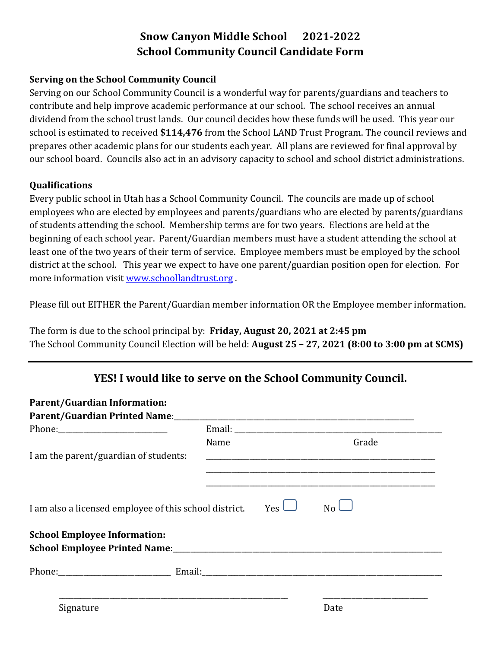## **Snow Canyon Middle School 2021-2022 School Community Council Candidate Form**

## **Serving on the School Community Council**

Serving on our School Community Council is a wonderful way for parents/guardians and teachers to contribute and help improve academic performance at our school. The school receives an annual dividend from the school trust lands. Our council decides how these funds will be used. This year our school is estimated to received **\$114,476** from the School LAND Trust Program. The council reviews and prepares other academic plans for our students each year. All plans are reviewed for final approval by our school board. Councils also act in an advisory capacity to school and school district administrations.

## **Qualifications**

Every public school in Utah has a School Community Council. The councils are made up of school employees who are elected by employees and parents/guardians who are elected by parents/guardians of students attending the school. Membership terms are for two years. Elections are held at the beginning of each school year. Parent/Guardian members must have a student attending the school at least one of the two years of their term of service. Employee members must be employed by the school district at the school. This year we expect to have one parent/guardian position open for election. For more information visit [www.schoollandtrust.org](http://www.schoollandtrust.org/) .

Please fill out EITHER the Parent/Guardian member information OR the Employee member information.

The form is due to the school principal by: **Friday, August 20, 2021 at 2:45 pm** The School Community Council Election will be held: **August 25 – 27, 2021 (8:00 to 3:00 pm at SCMS)**

## **YES! I would like to serve on the School Community Council.**

| <b>Parent/Guardian Information:</b>                    |      |              |       |  |
|--------------------------------------------------------|------|--------------|-------|--|
|                                                        |      |              |       |  |
|                                                        |      |              |       |  |
|                                                        | Name |              | Grade |  |
| I am the parent/guardian of students:                  |      |              |       |  |
|                                                        |      |              |       |  |
|                                                        |      | $Yes \sqcup$ |       |  |
| I am also a licensed employee of this school district. |      |              | No    |  |
| <b>School Employee Information:</b>                    |      |              |       |  |
|                                                        |      |              |       |  |
|                                                        |      |              |       |  |
|                                                        |      |              |       |  |
| Signature                                              |      |              | Date  |  |